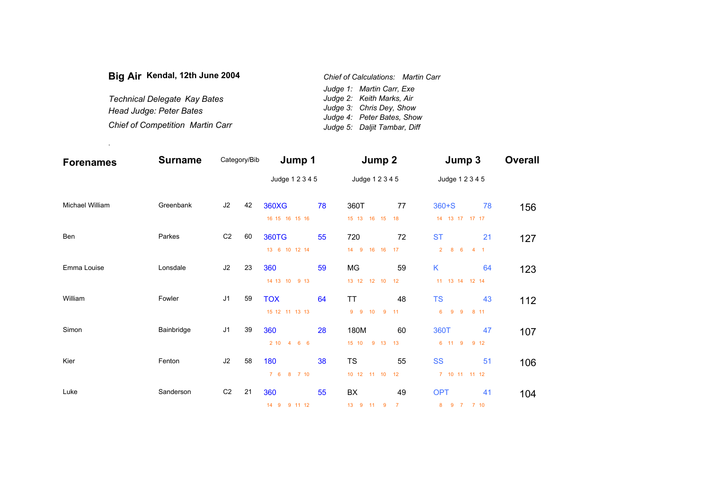| Big Air Kendal, 12th June 2004          | Chief of Calculations: Martin Carr |
|-----------------------------------------|------------------------------------|
|                                         | Judge 1: Martin Carr, Exe          |
| <b>Technical Delegate Kay Bates</b>     | Judge 2: Keith Marks, Air          |
| Head Judge: Peter Bates                 | Judge 3: Chris Dey, Show           |
|                                         | Judge 4: Peter Bates, Show         |
| <b>Chief of Competition Martin Carr</b> | Judge 5: Daljit Tambar, Diff       |

.

| <b>Forenames</b> | <b>Surname</b> | Category/Bib   |    | Jump 1                              |    | Jump 2                                    |                      | Jump 3                                                  |    | <b>Overall</b> |
|------------------|----------------|----------------|----|-------------------------------------|----|-------------------------------------------|----------------------|---------------------------------------------------------|----|----------------|
|                  |                |                |    | Judge 1 2 3 4 5                     |    | Judge 1 2 3 4 5                           |                      | Judge 1 2 3 4 5                                         |    |                |
| Michael William  | Greenbank      | J2             | 42 | <b>360XG</b><br>16 15 16 15 16      | 78 | 360T<br>15 13 16 15                       | 77<br>18             | $360 + S$<br>14  13  17  17  17                         | 78 | 156            |
| Ben              | Parkes         | C <sub>2</sub> | 60 | <b>360TG</b><br>13 6 10 12 14       | 55 | 720<br>9<br>16 16 17<br>14                | 72                   | <b>ST</b><br>8 <sub>6</sub><br>$\overline{2}$<br>$-4$ 1 | 21 | 127            |
| Emma Louise      | Lonsdale       | J2             | 23 | 360<br>14 13 10 9 13                | 59 | MG<br>13 12 12 10 12                      | 59                   | K<br>11  13  14  12  14                                 | 64 | 123            |
| William          | Fowler         | J <sub>1</sub> | 59 | <b>TOX</b><br>15 12 11 13 13        | 64 | <b>TT</b><br>$9^{\circ}$<br>$9 - 10$<br>9 | 48<br>11             | <b>TS</b><br>9<br>6<br>$9^{\circ}$<br>8 11              | 43 | 112            |
| Simon            | Bainbridge     | J <sub>1</sub> | 39 | 360<br>210<br>$\overline{4}$<br>6 6 | 28 | 180M<br>15 10<br>9 13                     | 60<br>13             | 360T<br>6 11 9<br>9 12                                  | 47 | 107            |
| Kier             | Fenton         | J2             | 58 | 180<br>76<br>8 7 10                 | 38 | <b>TS</b><br>10 12 11 10 12               | 55                   | <b>SS</b><br>7 10 11 11 12                              | 51 | 106            |
| Luke             | Sanderson      | C <sub>2</sub> | 21 | 360<br>9 11 12<br>14 9              | 55 | BX<br>13 9 11 9                           | 49<br>$\overline{7}$ | <b>OPT</b><br>9 7 7 10<br>8                             | 41 | 104            |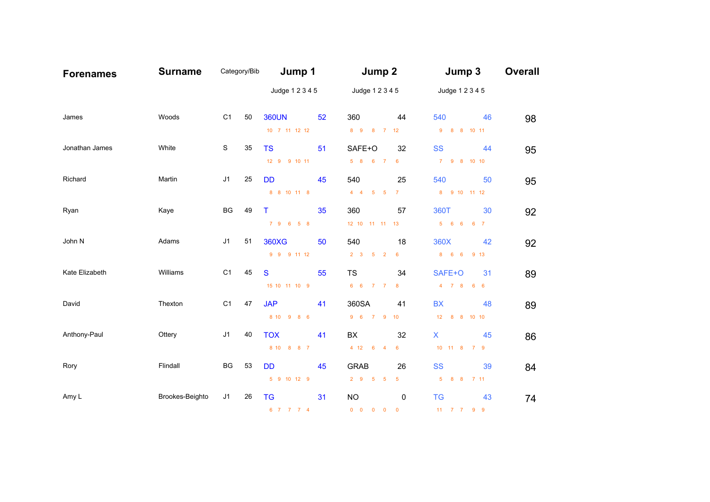| <b>Forenames</b> | <b>Surname</b>  |                | Category/Bib | Jump 1          |    | Jump 2                                           |                         | Jump 3                      |    | <b>Overall</b> |
|------------------|-----------------|----------------|--------------|-----------------|----|--------------------------------------------------|-------------------------|-----------------------------|----|----------------|
|                  |                 |                |              | Judge 1 2 3 4 5 |    | Judge 1 2 3 4 5                                  |                         | Judge 1 2 3 4 5             |    |                |
| James            | Woods           | C1             | 50           | <b>360UN</b>    | 52 | 360                                              | 44                      | 540                         | 46 | 98             |
|                  |                 |                |              | 10 7 11 12 12   |    | 8 9<br>8                                         | $7 \quad 12$            | 8 8 10 11<br>$9^{\circ}$    |    |                |
| Jonathan James   | White           | S              | 35           | <b>TS</b>       | 51 | SAFE+O                                           | 32                      | <b>SS</b>                   | 44 | 95             |
|                  |                 |                |              | 12 9 9 10 11    |    | 5 8 6 7                                          | $6\phantom{1}6$         | 7 <sup>7</sup><br>9 8 10 10 |    |                |
| Richard          | Martin          | J1             | 25           | <b>DD</b>       | 45 | 540                                              | 25                      | 540                         | 50 | 95             |
|                  |                 |                |              | 8 8 10 11 8     |    | $4 \quad 4$<br>$5\quad 5$                        | $\overline{7}$          | 8 9 10 11 12                |    |                |
| Ryan             | Kaye            | BG             | 49           | T.              | 35 | 360                                              | 57                      | 360T                        | 30 | 92             |
|                  |                 |                |              | 7 9 6 5 8       |    | 12 10 11 11 13                                   |                         | 5 6 6 6 7                   |    |                |
| John N           | Adams           | J <sub>1</sub> | 51           | <b>360XG</b>    | 50 | 540                                              | 18                      | 360X                        | 42 | 92             |
|                  |                 |                |              | 9 9 9 11 12     |    | $2 \quad 3$<br>5 <sub>2</sub>                    | $6\phantom{a}$          | 8 6 6 9 13                  |    |                |
| Kate Elizabeth   | Williams        | C <sub>1</sub> | 45           | S               | 55 | <b>TS</b>                                        | 34                      | SAFE+O                      | 31 | 89             |
|                  |                 |                |              | 15 10 11 10 9   |    | 6 6 7 7                                          | $\bf{8}$                | 4 7 8 6 6                   |    |                |
| David            | Thexton         | C1             | 47           | <b>JAP</b>      | 41 | 360SA                                            | 41                      | <b>BX</b>                   | 48 | 89             |
|                  |                 |                |              | 8 10 9 8 6      |    | 9 6 7 9                                          | 10                      | 12<br>8 8 10 10             |    |                |
| Anthony-Paul     | Ottery          | J1             | 40           | <b>TOX</b>      | 41 | BX                                               | 32                      | X                           | 45 | 86             |
|                  |                 |                |              | 8 10 8 8 7      |    | 4 12 6 4                                         | 6                       | 10 11 8 7 9                 |    |                |
| Rory             | Flindall        | BG             | 53           | <b>DD</b>       | 45 | <b>GRAB</b>                                      | 26                      | <b>SS</b>                   | 39 | 84             |
|                  |                 |                |              | 5 9 10 12 9     |    | $2 \quad 9$<br>5 <sup>5</sup><br>$5\overline{5}$ | $5\phantom{.0}$         | 5 <sub>5</sub><br>8 8 7 11  |    |                |
| Amy L            | Brookes-Beighto | J1             | 26           | <b>TG</b>       | 31 | <b>NO</b>                                        | 0                       | <b>TG</b>                   | 43 | 74             |
|                  |                 |                |              | 6 7 7 7 4       |    | $0\quad 0\quad 0$<br>$\mathbf{0}$                | $\overline{\mathbf{0}}$ | 11 7 7 9 9                  |    |                |